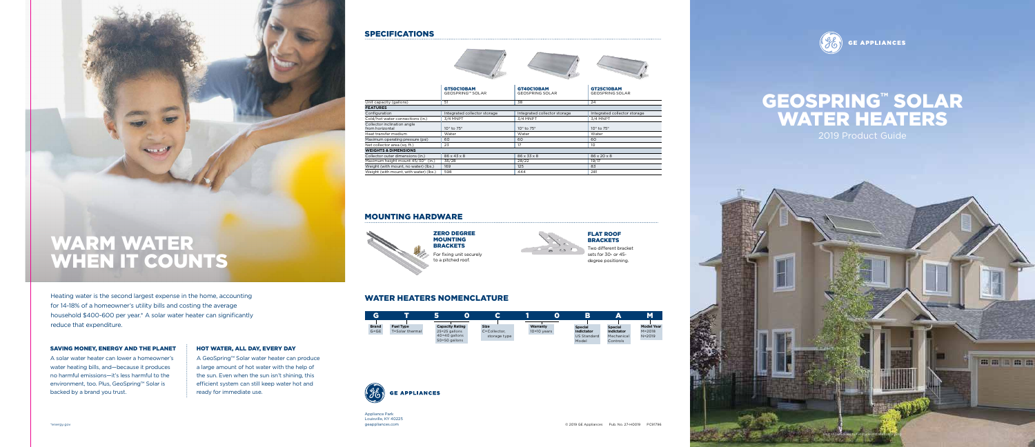Heating water is the second largest expense in the home, accounting for 14-18% of a homeowner's utility bills and costing the average household \$400-600 per year.\* A solar water heater can significantly reduce that expenditure.

### SAVING MONEY, ENERGY AND THE PLANET

A solar water heater can lower a homeowner's water heating bills, and—because it produces no harmful emissions—it's less harmful to the environment, too. Plus, GeoSpring™ Solar is backed by a brand you trust.

### HOT WATER, ALL DAY, EVERY DAY

A GeoSpring™ Solar water heater can produce a large amount of hot water with the help of the sun. Even when the sun isn't shining, this efficient system can still keep water hot and ready for immediate use.

# WARM WATER WHEN IT COUNTS

Appliance Park Louisville, KY 40225 geappliances.com





### WATER HEATERS NOMENCLATURE

| А                        |                                     |                                         |                             |
|--------------------------|-------------------------------------|-----------------------------------------|-----------------------------|
| <b>Brand</b><br>$G = GE$ | <b>Fuel Type</b><br>T=Solar thermal | <b>Capacity Rating</b><br>25=25 gallons | <b>Size</b><br>C=Collector. |
|                          |                                     | 40=40 gallons<br>50=50 gallons          | storage type                |



ZERO DEGREE MOUNTING **BRACKETS** 

## SPECIFICATIONS



| <b>GT40C10BAM</b><br><b>GEOSPRING SOLAR</b> | <b>GT25C10BAM</b><br><b>GEOSPRING SOLAR</b> |
|---------------------------------------------|---------------------------------------------|
| 38                                          | 24                                          |
|                                             |                                             |
| Integrated collector storage                | Integrated collector storage                |
| 3/4 MNPT                                    | 3/4 MNPT                                    |
| 10° to 75°                                  | 10° to 75°                                  |
| Water                                       | Water                                       |
| 60                                          | 60                                          |
| 17                                          | 10                                          |
|                                             |                                             |
| 86 x 33 x 8                                 | 86 x 20 x 8                                 |
| 28/22                                       | 19/17                                       |
| 125                                         | 83                                          |
| 444                                         | 281                                         |

|                                                | GT50C10BAM<br><b>GEOSPRING™ SOLAR</b> |
|------------------------------------------------|---------------------------------------|
| Unit capacity (gallons)                        | 51                                    |
| <b>FEATURES</b>                                |                                       |
| Configuration                                  | Integrated collector storage          |
| Cold/hot water connections (in.)               | 3/4 MNPT                              |
| Collector inclination angle<br>from horizontal | 10° to 75°                            |
| Heat transfer medium                           | Water                                 |

Maximum operating pressure (psi) 60 Net collector area (sq. ft.) 23 **WEIGHTS & DIMENSIONS** Collector outer dimensions (in.) 86 x 43 x 8 Maximum height mount  $45/30^{\circ}$  (in.) 36/28 Weight (with mount, no water) (lbs.) 169 Weight (with mount, with water) (lbs.)  $\overline{\phantom{a}}$  598



### MOUNTING HARDWARE

FLAT ROOF



For fixing unit securely to a pitched roof.

Model

Controls

# WATER HEATERS

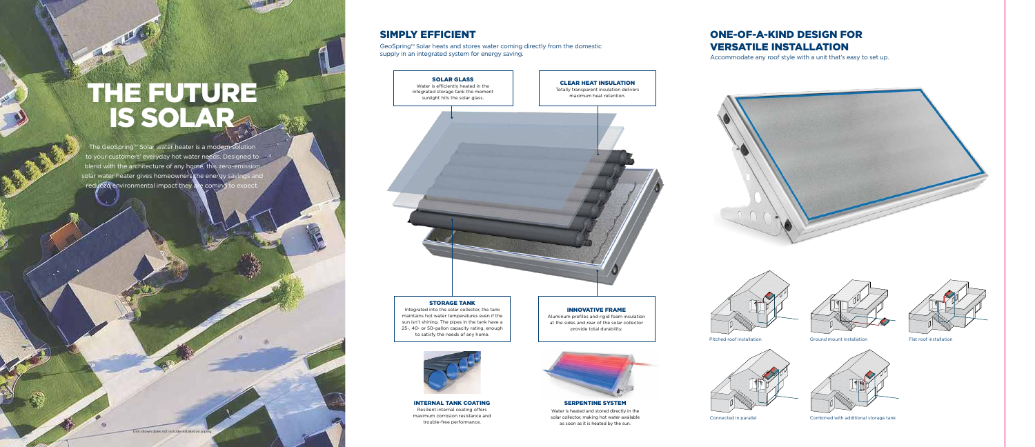Connected in parallel Combined with additional storage tank





Pitched roof installation Ground mount installation Flat roof installation



INNOVATIVE FRAME Aluminum profiles and rigid foam insulation at the sides and rear of the solar collector provide total durability.

# STORAGE TANK

Integrated into the solar collector, the tank maintains hot water temperatures even if the sun isn't shining. The pipes in the tank have a 25-, 40- or 50-gallon capacity rating, enough to satisfy the needs of any home.



SERPENTINE SYSTEM

Water is heated and stored directly in the solar collector, making hot water available as soon as it is heated by the sun.

# Water is efficiently heated in the<br>Integrated storage tank the moment<br>sunlight hits the solar glass.<br>maximum heat retention. IS SOLAR<sub>A</sub>

The GeoSpring™ Solar water heater is a modern solution to your customers' everyday hot water needs. Designed to blend with the architecture of any home, this zero-emission solar water heater gives homeowners the energy savings and reduced environmental impact they are coming to expect.

> INTERNAL TANK COATING Resilient internal coating offers maximum corrosion resistance and trouble-free performance.

# ONE-OF-A-KIND DESIGN FOR VERSATILE INSTALLATION

Accommodate any roof style with a unit that's easy to set up.







## SIMPLY EFFICIENT

GeoSpring™ Solar heats and stores water coming directly from the domestic supply in an integrated system for energy saving.

> SOLAR GLASS Water is efficiently heated in the integrated storage tank the moment sunlight hits the solar glass.